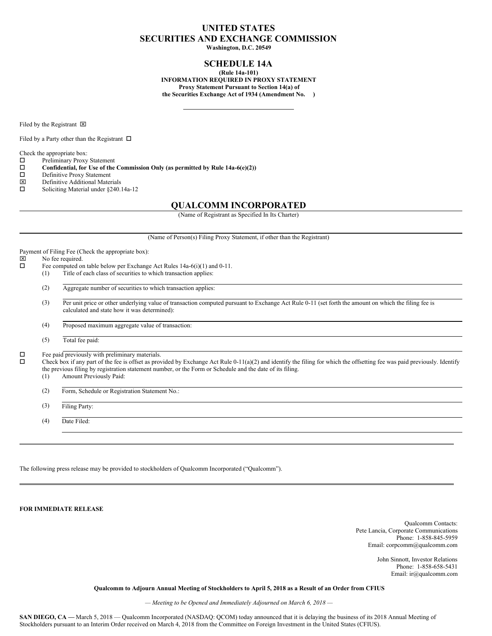# **UNITED STATES SECURITIES AND EXCHANGE COMMISSION**

**Washington, D.C. 20549**

## **SCHEDULE 14A**

**(Rule 14a-101) INFORMATION REQUIRED IN PROXY STATEMENT Proxy Statement Pursuant to Section 14(a) of the Securities Exchange Act of 1934 (Amendment No. )**

Filed by the Registrant  $\boxtimes$ 

Filed by a Party other than the Registrant  $\Box$ 

Check the appropriate box:

 $\square$  Preliminary Proxy Statement<br> $\square$  Confidential, for Use of the

**Confidential, for** Use of the Commission Only (as permitted by Rule  $14a-6(e)(2)$ )<br>  $\Box$  Definitive Proxy Statement

- □ Definitive Proxy Statement<br> **図** Definitive Additional Mater
- $\boxtimes$  Definitive Additional Materials<br> $\square$  Soliciting Material under \$240.
- Soliciting Material under §240.14a-12

### **QUALCOMM INCORPORATED**

(Name of Registrant as Specified In Its Charter)

(Name of Person(s) Filing Proxy Statement, if other than the Registrant)

Payment of Filing Fee (Check the appropriate box):<br> $\boxtimes$  No fee required.  $\boxtimes$  No fee required.<br> $\square$  Fee computed on Fee computed on table below per Exchange Act Rules 14a-6(i)(1) and 0-11. (1) Title of each class of securities to which transaction applies: (2) Aggregate number of securities to which transaction applies: (3) Per unit price or other underlying value of transaction computed pursuant to Exchange Act Rule 0-11 (set forth the amount on which the filing fee is calculated and state how it was determined): (4) Proposed maximum aggregate value of transaction: (5) Total fee paid:  $\Box$  Fee paid previously with preliminary materials.<br> $\Box$  Check box if any part of the fee is offect as prov Check box if any part of the fee is offset as provided by Exchange Act Rule 0-11(a)(2) and identify the filing for which the offsetting fee was paid previously. Identify the previous filing by registration statement number, or the Form or Schedule and the date of its filing. (1) Amount Previously Paid: (2) Form, Schedule or Registration Statement No.: (3) Filing Party: (4) Date Filed:

The following press release may be provided to stockholders of Qualcomm Incorporated ("Qualcomm").

**FOR IMMEDIATE RELEASE**

Qualcomm Contacts: Pete Lancia, Corporate Communications Phone: 1-858-845-5959 Email: corpcomm@qualcomm.com

> John Sinnott, Investor Relations Phone: 1-858-658-5431 Email: ir@qualcomm.com

Qualcomm to Adjourn Annual Meeting of Stockholders to April 5, 2018 as a Result of an Order from CFIUS

*— Meeting to be Opened and Immediately Adjourned on March 6, 2018 —*

**SAN DIEGO, CA** — March 5, 2018 — Qualcomm Incorporated (NASDAQ: OCOM) today announced that it is delaying the business of its 2018 Annual Meeting of Stockholders pursuant to an Interim Order received on March 4, 2018 from the Committee on Foreign Investment in the United States (CFIUS).